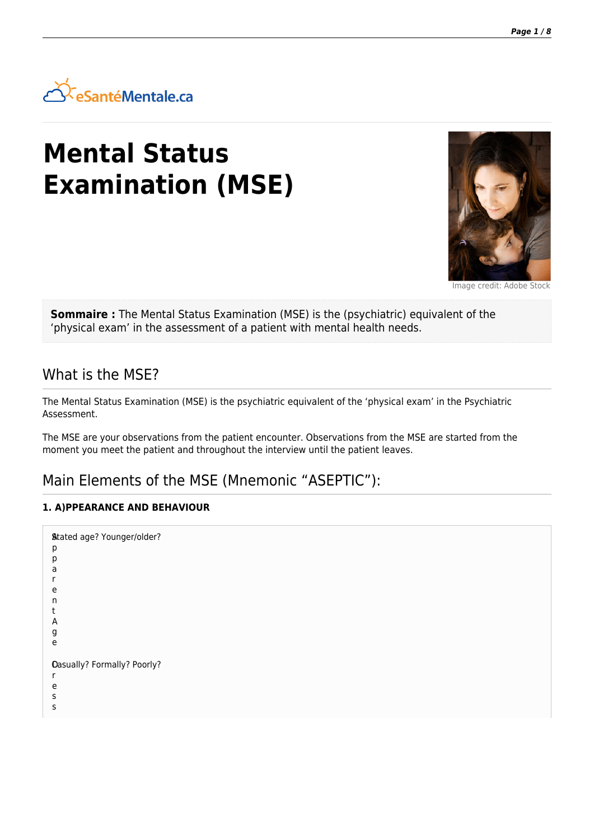

# **Mental Status Examination (MSE)**



Image credit: Adobe Stock

**Sommaire :** The Mental Status Examination (MSE) is the (psychiatric) equivalent of the 'physical exam' in the assessment of a patient with mental health needs.

### What is the MSE?

The Mental Status Examination (MSE) is the psychiatric equivalent of the 'physical exam' in the Psychiatric Assessment.

The MSE are your observations from the patient encounter. Observations from the MSE are started from the moment you meet the patient and throughout the interview until the patient leaves.

## Main Elements of the MSE (Mnemonic "ASEPTIC"):

#### **1. A)PPEARANCE AND BEHAVIOUR**

| <b>Stated age? Younger/older?</b><br>р<br>р<br>a<br>e<br>n<br>A<br>g<br>e |  |
|---------------------------------------------------------------------------|--|
| <b>Oasually? Formally? Poorly?</b><br>e<br>s<br>S                         |  |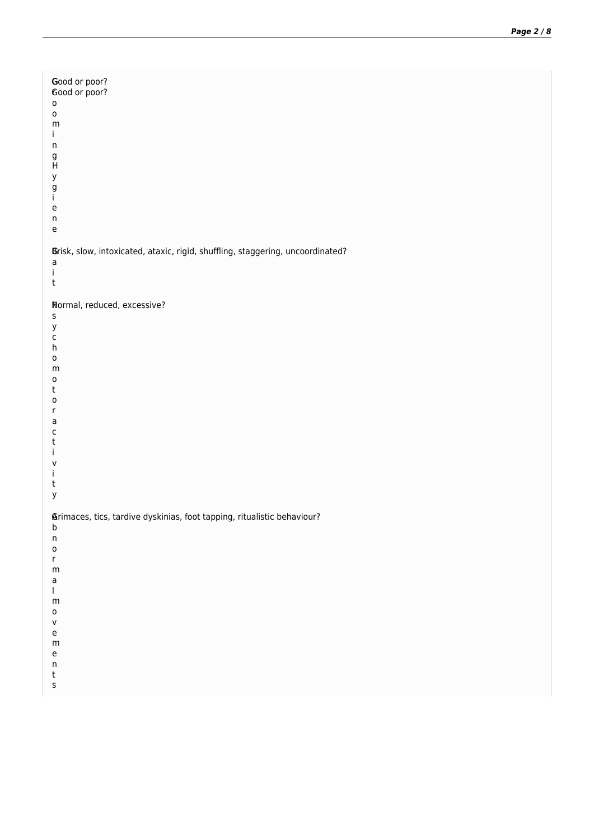| Good or poor?<br>Good or poor?<br>$\mathsf{o}$<br>$\mathsf{o}$<br>${\sf m}$<br>i<br>n<br>g<br>$\sf H$<br>у<br>g<br>j.<br>e<br>$\sf n$<br>$\mathsf{e}% _{t}\left( t\right)$                                                                                                                                                              |  |
|-----------------------------------------------------------------------------------------------------------------------------------------------------------------------------------------------------------------------------------------------------------------------------------------------------------------------------------------|--|
| Brisk, slow, intoxicated, ataxic, rigid, shuffling, staggering, uncoordinated?<br>a<br>İ.<br>$\sf t$                                                                                                                                                                                                                                    |  |
| Normal, reduced, excessive?<br>s<br>У<br>$\mathsf{C}$<br>h<br>$\mathsf{o}$<br>${\sf m}$<br>$\mathsf{o}$<br>t<br>0<br>r<br>a<br>$\mathsf{C}$<br>t<br>İ.<br>V<br>Ť<br>$\sf t$<br>У                                                                                                                                                        |  |
| <b>Arimaces, tics, tardive dyskinias, foot tapping, ritualistic behaviour?</b><br>b<br>$\sf n$<br>$\mathsf{o}$<br>$r_{\parallel}$<br>${\sf m}$<br>$\mathsf{a}$<br>$\mathsf{L}$<br>${\sf m}$<br>$\mathsf{o}$<br>V<br>$\mathsf{e}% _{t}\left( t\right)$<br>${\sf m}$<br>$\mathsf{e}% _{t}\left( t\right)$<br>$\sf n$<br>t<br>$\mathsf{s}$ |  |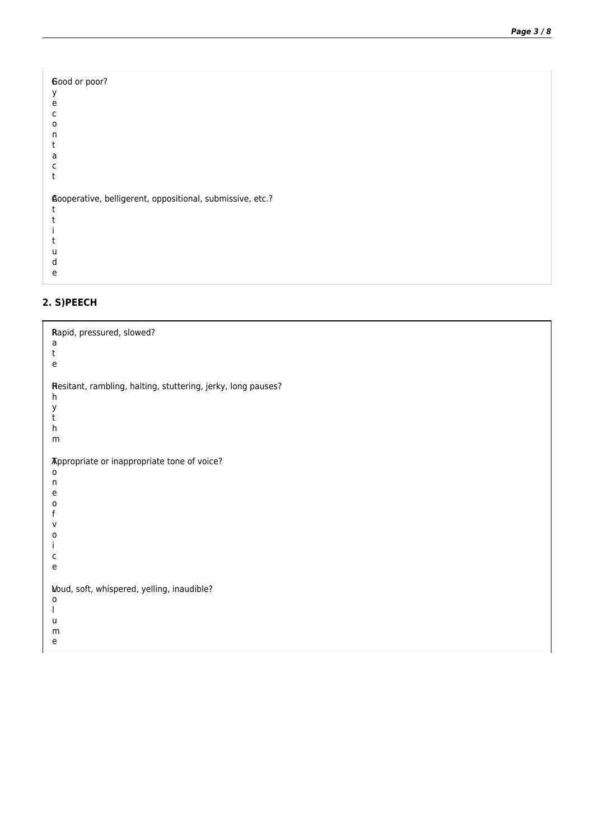E Good or poor? y e c o n t a c t A Cooperative, belligerent, oppositional, submissive, etc.? t t i t u d e

#### **2. S)PEECH**

R Rapid, pressured, slowed? a t e R Hesitant, rambling, halting, stuttering, jerky, long pauses? h y t h m T Appropriate or inappropriate tone of voice? o n e o f v o i c e V Loud, soft, whispered, yelling, inaudible?o l u m e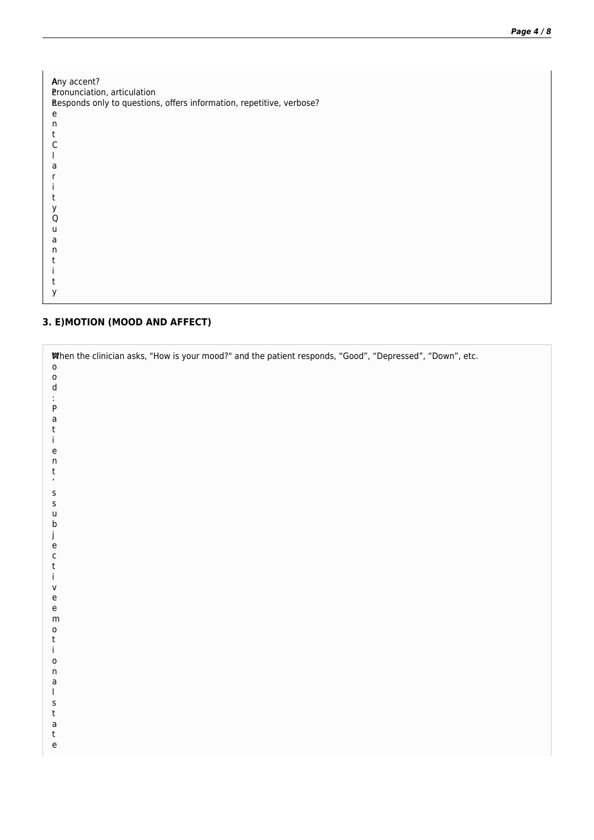| Any accent?<br>Pronunciation, articulation<br>Responds only to questions, offers information, repetitive, verbose? |
|--------------------------------------------------------------------------------------------------------------------|
| e                                                                                                                  |
| n                                                                                                                  |
| t                                                                                                                  |
| C                                                                                                                  |
|                                                                                                                    |
| a                                                                                                                  |
|                                                                                                                    |
|                                                                                                                    |
|                                                                                                                    |
| у                                                                                                                  |
| O                                                                                                                  |
| u                                                                                                                  |
| a                                                                                                                  |
| n                                                                                                                  |
| t                                                                                                                  |
|                                                                                                                    |
|                                                                                                                    |
|                                                                                                                    |

#### **3. E)MOTION (MOOD AND AFFECT)**

| When the clinician asks, "How is your mood?" and the patient responds, "Good", "Depressed", "Down", etc.<br>$\mathsf{o}$<br>$\mathsf{o}$<br>${\sf d}$<br>$\sf P$<br>$\mathsf a$<br>$\sf t$<br>İ.<br>$\mathsf{e}% _{t}\left( t\right)$<br>$\sf n$<br>t<br>$\pmb{\cdot}$                                                                                                                                          |  |
|-----------------------------------------------------------------------------------------------------------------------------------------------------------------------------------------------------------------------------------------------------------------------------------------------------------------------------------------------------------------------------------------------------------------|--|
| $\sf S$<br>$\sf S$<br>$\sf U$<br>$\sf b$<br>j<br>$\mathsf{e}% _{0}\left( \mathsf{e}\right)$<br>$\mathsf{C}$<br>$\sf t$<br>Ť<br>$\mathsf{V}$<br>$\mathsf{e}% _{t}\left( t\right)$<br>$\mathsf{e}% _{t}\left( t\right)$<br>${\sf m}$<br>$\mathsf{o}$<br>t<br>j.<br>$\mathsf{o}$<br>$\sf n$<br>$\mathsf a$<br>$\mathbf{I}$<br>$\sf S$<br>$\sf t$<br>$\mathsf a$<br>t<br>$\mathsf{e}% _{0}\left( \mathsf{e}\right)$ |  |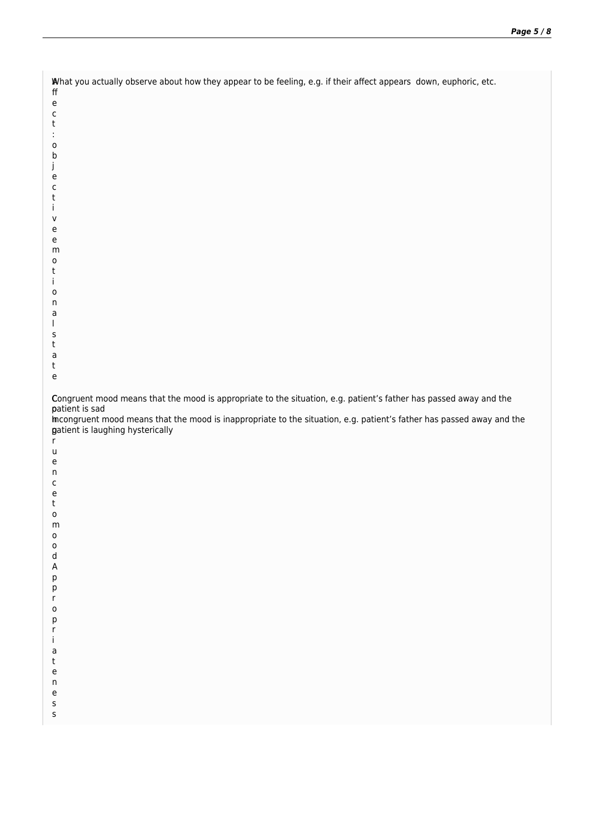| What you actually observe about how they appear to be feeling, e.g. if their affect appears down, euphoric, etc.<br>$\sf ff$<br>$\mathsf{e}% _{t}\left( t\right)$<br>$\mathsf C$                                                                                                                 |
|--------------------------------------------------------------------------------------------------------------------------------------------------------------------------------------------------------------------------------------------------------------------------------------------------|
| t<br>$\mathsf{o}$<br>b                                                                                                                                                                                                                                                                           |
| J<br>e<br>с<br>t<br>L                                                                                                                                                                                                                                                                            |
| v<br>e<br>e<br>m                                                                                                                                                                                                                                                                                 |
| $\mathsf{o}$<br>t<br>Ť<br>о                                                                                                                                                                                                                                                                      |
| n<br>a<br>S                                                                                                                                                                                                                                                                                      |
| t<br>a<br>t<br>$\mathsf{e}% _{t}\left( t\right)$                                                                                                                                                                                                                                                 |
| Congruent mood means that the mood is appropriate to the situation, e.g. patient's father has passed away and the<br>patient is sad<br>incongruent mood means that the mood is inappropriate to the situation, e.g. patient's father has passed away and the<br>gatient is laughing hysterically |
| $r_{\parallel}$<br>u<br>e<br>n                                                                                                                                                                                                                                                                   |
| С<br>e<br>t<br>0<br>m                                                                                                                                                                                                                                                                            |
| $\mathsf{o}$<br>0<br>d<br>А                                                                                                                                                                                                                                                                      |
| р<br>р<br>r<br>0                                                                                                                                                                                                                                                                                 |
| р<br>r<br>j.<br>a                                                                                                                                                                                                                                                                                |
| t<br>e<br>n<br>e                                                                                                                                                                                                                                                                                 |
| s<br>S                                                                                                                                                                                                                                                                                           |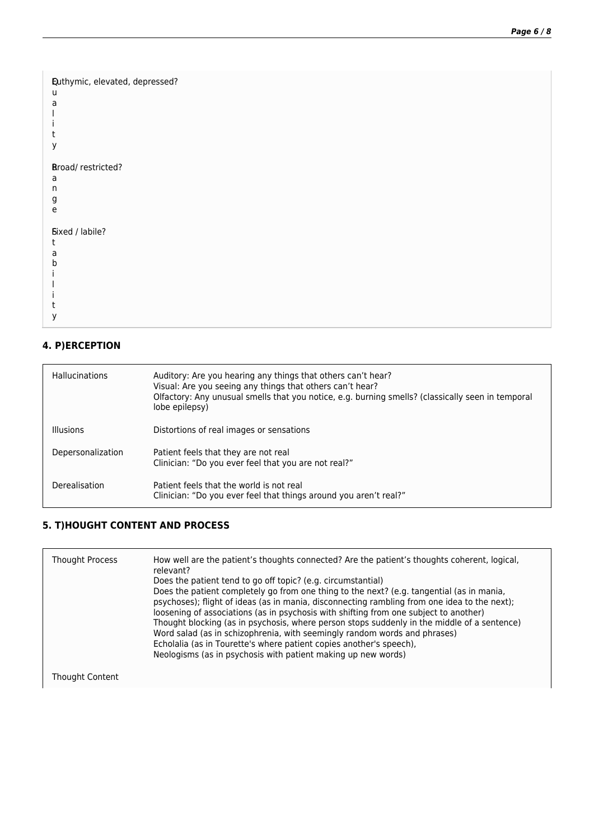```
Q
Euthymic, elevated, depressed?
u
a
l
i
t
y
R
Broad/ restricted?
a
n
g
e
S
Fixed / labile?
t
a
b
i
l
i
t
y
```
#### **4. P)ERCEPTION**

| <b>Hallucinations</b> | Auditory: Are you hearing any things that others can't hear?<br>Visual: Are you seeing any things that others can't hear?<br>Olfactory: Any unusual smells that you notice, e.g. burning smells? (classically seen in temporal<br>lobe epilepsy) |
|-----------------------|--------------------------------------------------------------------------------------------------------------------------------------------------------------------------------------------------------------------------------------------------|
| Illusions             | Distortions of real images or sensations                                                                                                                                                                                                         |
| Depersonalization     | Patient feels that they are not real<br>Clinician: "Do you ever feel that you are not real?"                                                                                                                                                     |
| Derealisation         | Patient feels that the world is not real<br>Clinician: "Do you ever feel that things around you aren't real?"                                                                                                                                    |

#### **5. T)HOUGHT CONTENT AND PROCESS**

| <b>Thought Process</b> | How well are the patient's thoughts connected? Are the patient's thoughts coherent, logical,<br>relevant?<br>Does the patient tend to go off topic? (e.g. circumstantial)<br>Does the patient completely go from one thing to the next? (e.g. tangential (as in mania,<br>psychoses); flight of ideas (as in mania, disconnecting rambling from one idea to the next);<br>loosening of associations (as in psychosis with shifting from one subject to another)<br>Thought blocking (as in psychosis, where person stops suddenly in the middle of a sentence)<br>Word salad (as in schizophrenia, with seemingly random words and phrases)<br>Echolalia (as in Tourette's where patient copies another's speech),<br>Neologisms (as in psychosis with patient making up new words) |
|------------------------|-------------------------------------------------------------------------------------------------------------------------------------------------------------------------------------------------------------------------------------------------------------------------------------------------------------------------------------------------------------------------------------------------------------------------------------------------------------------------------------------------------------------------------------------------------------------------------------------------------------------------------------------------------------------------------------------------------------------------------------------------------------------------------------|
| Thought Content        |                                                                                                                                                                                                                                                                                                                                                                                                                                                                                                                                                                                                                                                                                                                                                                                     |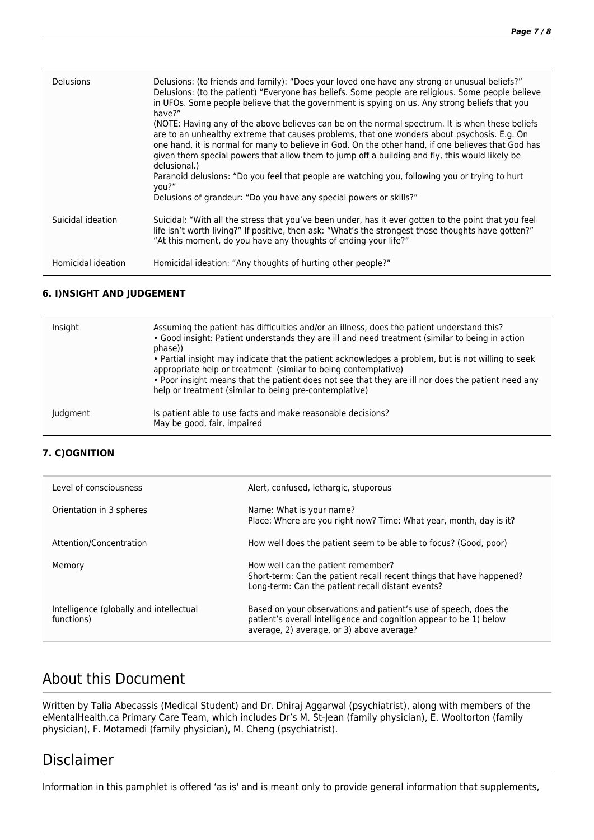| <b>Delusions</b>   | Delusions: (to friends and family): "Does your loved one have any strong or unusual beliefs?"<br>Delusions: (to the patient) "Everyone has beliefs. Some people are religious. Some people believe<br>in UFOs. Some people believe that the government is spying on us. Any strong beliefs that you<br>have?"                                                                                                          |
|--------------------|------------------------------------------------------------------------------------------------------------------------------------------------------------------------------------------------------------------------------------------------------------------------------------------------------------------------------------------------------------------------------------------------------------------------|
|                    | (NOTE: Having any of the above believes can be on the normal spectrum. It is when these beliefs<br>are to an unhealthy extreme that causes problems, that one wonders about psychosis. E.g. On<br>one hand, it is normal for many to believe in God. On the other hand, if one believes that God has<br>given them special powers that allow them to jump off a building and fly, this would likely be<br>delusional.) |
|                    | Paranoid delusions: "Do you feel that people are watching you, following you or trying to hurt<br>you?"                                                                                                                                                                                                                                                                                                                |
|                    | Delusions of grandeur: "Do you have any special powers or skills?"                                                                                                                                                                                                                                                                                                                                                     |
| Suicidal ideation  | Suicidal: "With all the stress that you've been under, has it ever gotten to the point that you feel<br>life isn't worth living?" If positive, then ask: "What's the strongest those thoughts have gotten?"<br>"At this moment, do you have any thoughts of ending your life?"                                                                                                                                         |
| Homicidal ideation | Homicidal ideation: "Any thoughts of hurting other people?"                                                                                                                                                                                                                                                                                                                                                            |

#### **6. I)NSIGHT AND JUDGEMENT**

| Insight  | Assuming the patient has difficulties and/or an illness, does the patient understand this?<br>. Good insight: Patient understands they are ill and need treatment (similar to being in action<br>phase))<br>• Partial insight may indicate that the patient acknowledges a problem, but is not willing to seek<br>appropriate help or treatment (similar to being contemplative)<br>• Poor insight means that the patient does not see that they are ill nor does the patient need any<br>help or treatment (similar to being pre-contemplative) |
|----------|--------------------------------------------------------------------------------------------------------------------------------------------------------------------------------------------------------------------------------------------------------------------------------------------------------------------------------------------------------------------------------------------------------------------------------------------------------------------------------------------------------------------------------------------------|
| Judgment | Is patient able to use facts and make reasonable decisions?<br>May be good, fair, impaired                                                                                                                                                                                                                                                                                                                                                                                                                                                       |

#### **7. C)OGNITION**

| Level of consciousness                                | Alert, confused, lethargic, stuporous                                                                                                                                               |
|-------------------------------------------------------|-------------------------------------------------------------------------------------------------------------------------------------------------------------------------------------|
| Orientation in 3 spheres                              | Name: What is your name?<br>Place: Where are you right now? Time: What year, month, day is it?                                                                                      |
| Attention/Concentration                               | How well does the patient seem to be able to focus? (Good, poor)                                                                                                                    |
| Memory                                                | How well can the patient remember?<br>Short-term: Can the patient recall recent things that have happened?<br>Long-term: Can the patient recall distant events?                     |
| Intelligence (globally and intellectual<br>functions) | Based on your observations and patient's use of speech, does the<br>patient's overall intelligence and cognition appear to be 1) below<br>average, 2) average, or 3) above average? |

# About this Document

Written by Talia Abecassis (Medical Student) and Dr. Dhiraj Aggarwal (psychiatrist), along with members of the eMentalHealth.ca Primary Care Team, which includes Dr's M. St-Jean (family physician), E. Wooltorton (family physician), F. Motamedi (family physician), M. Cheng (psychiatrist).

## Disclaimer

Information in this pamphlet is offered 'as is' and is meant only to provide general information that supplements,